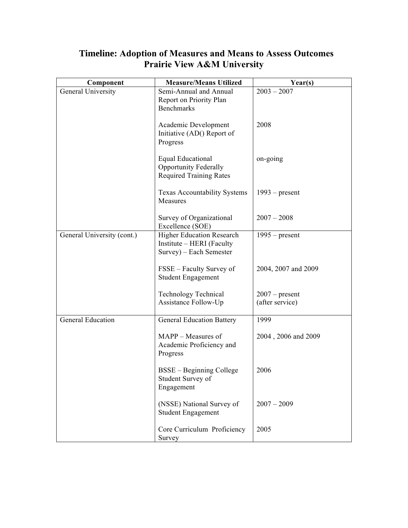| Component                  | <b>Measure/Means Utilized</b>                                                              | Year(s)                             |
|----------------------------|--------------------------------------------------------------------------------------------|-------------------------------------|
| General University         | Semi-Annual and Annual<br>Report on Priority Plan<br><b>Benchmarks</b>                     | $2003 - 2007$                       |
|                            | Academic Development<br>Initiative (AD() Report of<br>Progress                             | 2008                                |
|                            | <b>Equal Educational</b><br><b>Opportunity Federally</b><br><b>Required Training Rates</b> | on-going                            |
|                            | <b>Texas Accountability Systems</b><br>Measures                                            | $1993$ – present                    |
|                            | Survey of Organizational<br>Excellence (SOE)                                               | $2007 - 2008$                       |
| General University (cont.) | <b>Higher Education Research</b><br>Institute – HERI (Faculty<br>Survey) – Each Semester   | $1995$ – present                    |
|                            | FSSE – Faculty Survey of<br><b>Student Engagement</b>                                      | 2004, 2007 and 2009                 |
|                            | Technology Technical<br>Assistance Follow-Up                                               | $2007$ – present<br>(after service) |
| <b>General Education</b>   | <b>General Education Battery</b>                                                           | 1999                                |
|                            | MAPP – Measures of<br>Academic Proficiency and<br>Progress                                 | 2004, 2006 and 2009                 |
|                            | BSSE – Beginning College<br>Student Survey of<br>Engagement                                | 2006                                |
|                            | (NSSE) National Survey of<br><b>Student Engagement</b>                                     | $2007 - 2009$                       |
|                            | Core Curriculum Proficiency<br>Survey                                                      | 2005                                |

## **Timeline: Adoption of Measures and Means to Assess Outcomes Prairie View A&M University**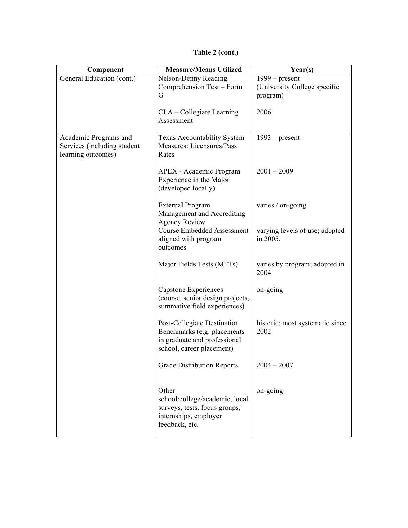| Table 2 (cont.) |  |
|-----------------|--|
|-----------------|--|

| Component                                                                  | <b>Measure/Means Utilized</b>                                                                                           | Year(s)                                                      |
|----------------------------------------------------------------------------|-------------------------------------------------------------------------------------------------------------------------|--------------------------------------------------------------|
| General Education (cont.)                                                  | Nelson-Denny Reading<br>Comprehension Test - Form<br>G                                                                  | $1999 - present$<br>(University College specific<br>program) |
|                                                                            | CLA – Collegiate Learning<br>Assessment                                                                                 | 2006                                                         |
| Academic Programs and<br>Services (including student<br>learning outcomes) | Texas Accountability System<br>Measures: Licensures/Pass<br>Rates                                                       | $1993$ – present                                             |
|                                                                            | APEX - Academic Program<br>Experience in the Major<br>(developed locally)                                               | $2001 - 2009$                                                |
|                                                                            | <b>External Program</b><br>Management and Accrediting<br><b>Agency Review</b>                                           | varies / on-going                                            |
|                                                                            | <b>Course Embedded Assessment</b><br>aligned with program<br>outcomes                                                   | varying levels of use; adopted<br>in 2005.                   |
|                                                                            | Major Fields Tests (MFTs)                                                                                               | varies by program; adopted in<br>2004                        |
|                                                                            | Capstone Experiences<br>(course, senior design projects,<br>summative field experiences)                                | on-going                                                     |
|                                                                            | Post-Collegiate Destination<br>Benchmarks (e.g. placements<br>in graduate and professional<br>school, career placement) | historic; most systematic since<br>2002                      |
|                                                                            | <b>Grade Distribution Reports</b>                                                                                       | $2004 - 2007$                                                |
|                                                                            | Other<br>school/college/academic, local<br>surveys, tests, focus groups,<br>internships, employer<br>feedback, etc.     | on-going                                                     |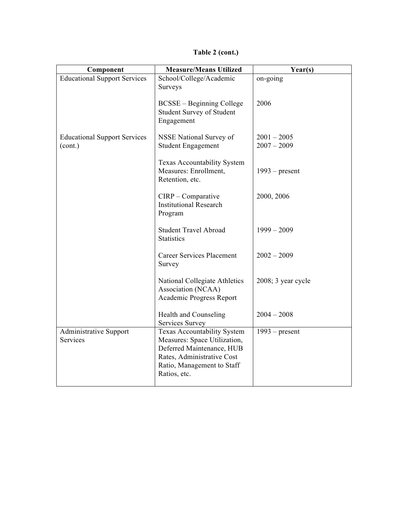**Table 2 (cont.)**

| Component                                      | <b>Measure/Means Utilized</b>                                                                                                                                        | Year(s)                        |
|------------------------------------------------|----------------------------------------------------------------------------------------------------------------------------------------------------------------------|--------------------------------|
| <b>Educational Support Services</b>            | School/College/Academic<br>Surveys                                                                                                                                   | on-going                       |
|                                                | <b>BCSSE</b> – Beginning College<br>Student Survey of Student<br>Engagement                                                                                          | 2006                           |
| <b>Educational Support Services</b><br>(cont.) | NSSE National Survey of<br><b>Student Engagement</b>                                                                                                                 | $2001 - 2005$<br>$2007 - 2009$ |
|                                                | <b>Texas Accountability System</b><br>Measures: Enrollment,<br>Retention, etc.                                                                                       | $1993$ – present               |
|                                                | $CIRP - Comparative$<br><b>Institutional Research</b><br>Program                                                                                                     | 2000, 2006                     |
|                                                | <b>Student Travel Abroad</b><br><b>Statistics</b>                                                                                                                    | $1999 - 2009$                  |
|                                                | <b>Career Services Placement</b><br>Survey                                                                                                                           | $2002 - 2009$                  |
|                                                | National Collegiate Athletics<br>Association (NCAA)<br>Academic Progress Report                                                                                      | 2008; 3 year cycle             |
|                                                | <b>Health and Counseling</b><br>Services Survey                                                                                                                      | $2004 - 2008$                  |
| <b>Administrative Support</b><br>Services      | Texas Accountability System<br>Measures: Space Utilization,<br>Deferred Maintenance, HUB<br>Rates, Administrative Cost<br>Ratio, Management to Staff<br>Ratios, etc. | $1993$ – present               |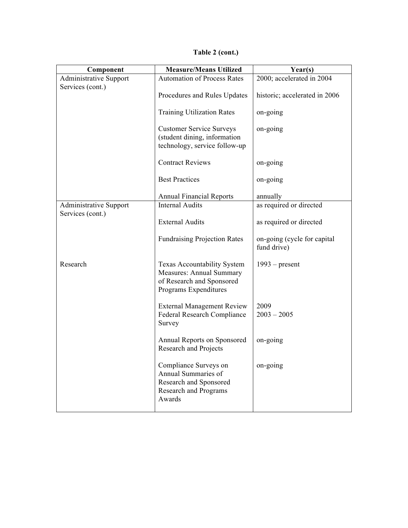| Table 2 (cont.) |  |  |
|-----------------|--|--|
|                 |  |  |

| Component                     | <b>Measure/Means Utilized</b><br>Year(s)                                                                             |                                            |
|-------------------------------|----------------------------------------------------------------------------------------------------------------------|--------------------------------------------|
| <b>Administrative Support</b> | <b>Automation of Process Rates</b>                                                                                   | 2000; accelerated in 2004                  |
| Services (cont.)              | Procedures and Rules Updates                                                                                         | historic; accelerated in 2006              |
|                               | <b>Training Utilization Rates</b>                                                                                    | on-going                                   |
|                               | <b>Customer Service Surveys</b><br>(student dining, information<br>technology, service follow-up                     | on-going                                   |
|                               | <b>Contract Reviews</b>                                                                                              | on-going                                   |
|                               | <b>Best Practices</b>                                                                                                | on-going                                   |
|                               | <b>Annual Financial Reports</b>                                                                                      | annually                                   |
| <b>Administrative Support</b> | <b>Internal Audits</b>                                                                                               | as required or directed                    |
| Services (cont.)              | <b>External Audits</b>                                                                                               | as required or directed                    |
|                               | <b>Fundraising Projection Rates</b>                                                                                  | on-going (cycle for capital<br>fund drive) |
| Research                      | <b>Texas Accountability System</b><br>Measures: Annual Summary<br>of Research and Sponsored<br>Programs Expenditures | $1993$ – present                           |
|                               | <b>External Management Review</b><br>Federal Research Compliance<br>Survey                                           | 2009<br>$2003 - 2005$                      |
|                               | Annual Reports on Sponsored<br>Research and Projects                                                                 | on-going                                   |
|                               | Compliance Surveys on<br>Annual Summaries of<br>Research and Sponsored<br>Research and Programs<br>Awards            | on-going                                   |